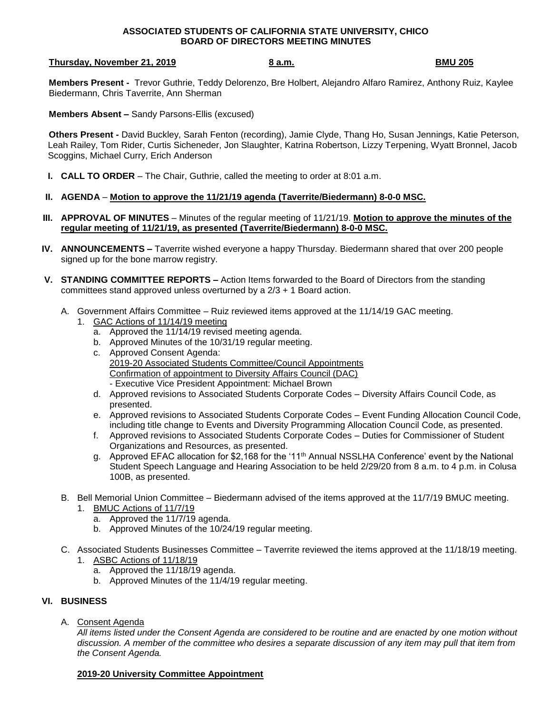## **ASSOCIATED STUDENTS OF CALIFORNIA STATE UNIVERSITY, CHICO BOARD OF DIRECTORS MEETING MINUTES**

### **Thursday, November 21, 2019 8 a.m. BMU 205**

**Members Present -** Trevor Guthrie, Teddy Delorenzo, Bre Holbert, Alejandro Alfaro Ramirez, Anthony Ruiz, Kaylee Biedermann, Chris Taverrite, Ann Sherman

**Members Absent –** Sandy Parsons-Ellis (excused)

**Others Present -** David Buckley, Sarah Fenton (recording), Jamie Clyde, Thang Ho, Susan Jennings, Katie Peterson, Leah Railey, Tom Rider, Curtis Sicheneder, Jon Slaughter, Katrina Robertson, Lizzy Terpening, Wyatt Bronnel, Jacob Scoggins, Michael Curry, Erich Anderson

**I. CALL TO ORDER** – The Chair, Guthrie, called the meeting to order at 8:01 a.m.

# **II. AGENDA** – **Motion to approve the 11/21/19 agenda (Taverrite/Biedermann) 8-0-0 MSC.**

- **III. APPROVAL OF MINUTES** Minutes of the regular meeting of 11/21/19. **Motion to approve the minutes of the regular meeting of 11/21/19, as presented (Taverrite/Biedermann) 8-0-0 MSC.**
- **IV. ANNOUNCEMENTS –** Taverrite wished everyone a happy Thursday. Biedermann shared that over 200 people signed up for the bone marrow registry.
- **V. STANDING COMMITTEE REPORTS –** Action Items forwarded to the Board of Directors from the standing committees stand approved unless overturned by a  $2/3 + 1$  Board action.
	- A. Government Affairs Committee Ruiz reviewed items approved at the 11/14/19 GAC meeting.
		- 1. GAC Actions of 11/14/19 meeting
			- a. Approved the 11/14/19 revised meeting agenda.
			- b. Approved Minutes of the 10/31/19 regular meeting.
			- c. Approved Consent Agenda: 2019-20 Associated Students Committee/Council Appointments Confirmation of appointment to Diversity Affairs Council (DAC) - Executive Vice President Appointment: Michael Brown
			- d. Approved revisions to Associated Students Corporate Codes Diversity Affairs Council Code, as presented.
			- e. Approved revisions to Associated Students Corporate Codes Event Funding Allocation Council Code, including title change to Events and Diversity Programming Allocation Council Code, as presented.
			- f. Approved revisions to Associated Students Corporate Codes Duties for Commissioner of Student Organizations and Resources, as presented.
			- g. Approved EFAC allocation for \$2,168 for the '11<sup>th</sup> Annual NSSLHA Conference' event by the National Student Speech Language and Hearing Association to be held 2/29/20 from 8 a.m. to 4 p.m. in Colusa 100B, as presented.
	- B. Bell Memorial Union Committee Biedermann advised of the items approved at the 11/7/19 BMUC meeting. 1. BMUC Actions of 11/7/19
		- a. Approved the 11/7/19 agenda.
		- b. Approved Minutes of the 10/24/19 regular meeting.
	- C. Associated Students Businesses Committee Taverrite reviewed the items approved at the 11/18/19 meeting. 1. ASBC Actions of 11/18/19
		- a. Approved the 11/18/19 agenda.
		- b. Approved Minutes of the 11/4/19 regular meeting.

## **VI. BUSINESS**

A. Consent Agenda

*All items listed under the Consent Agenda are considered to be routine and are enacted by one motion without discussion. A member of the committee who desires a separate discussion of any item may pull that item from the Consent Agenda.*

## **2019-20 University Committee Appointment**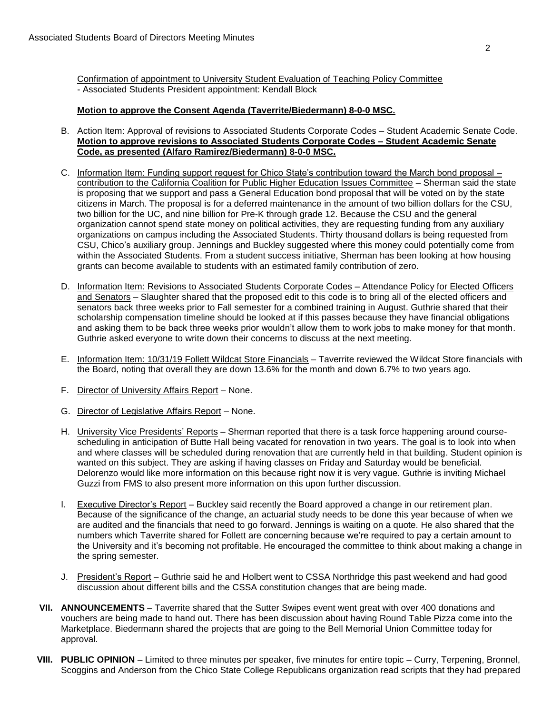Confirmation of appointment to University Student Evaluation of Teaching Policy Committee - Associated Students President appointment: Kendall Block

# **Motion to approve the Consent Agenda (Taverrite/Biedermann) 8-0-0 MSC.**

- B. Action Item: Approval of revisions to Associated Students Corporate Codes Student Academic Senate Code. **Motion to approve revisions to Associated Students Corporate Codes – Student Academic Senate Code, as presented (Alfaro Ramirez/Biedermann) 8-0-0 MSC.**
- C. Information Item: Funding support request for Chico State's contribution toward the March bond proposal contribution to the California Coalition for Public Higher Education Issues Committee – Sherman said the state is proposing that we support and pass a General Education bond proposal that will be voted on by the state citizens in March. The proposal is for a deferred maintenance in the amount of two billion dollars for the CSU, two billion for the UC, and nine billion for Pre-K through grade 12. Because the CSU and the general organization cannot spend state money on political activities, they are requesting funding from any auxiliary organizations on campus including the Associated Students. Thirty thousand dollars is being requested from CSU, Chico's auxiliary group. Jennings and Buckley suggested where this money could potentially come from within the Associated Students. From a student success initiative, Sherman has been looking at how housing grants can become available to students with an estimated family contribution of zero.
- D. Information Item: Revisions to Associated Students Corporate Codes Attendance Policy for Elected Officers and Senators – Slaughter shared that the proposed edit to this code is to bring all of the elected officers and senators back three weeks prior to Fall semester for a combined training in August. Guthrie shared that their scholarship compensation timeline should be looked at if this passes because they have financial obligations and asking them to be back three weeks prior wouldn't allow them to work jobs to make money for that month. Guthrie asked everyone to write down their concerns to discuss at the next meeting.
- E. Information Item: 10/31/19 Follett Wildcat Store Financials Taverrite reviewed the Wildcat Store financials with the Board, noting that overall they are down 13.6% for the month and down 6.7% to two years ago.
- F. Director of University Affairs Report None.
- G. Director of Legislative Affairs Report None.
- H. University Vice Presidents' Reports Sherman reported that there is a task force happening around coursescheduling in anticipation of Butte Hall being vacated for renovation in two years. The goal is to look into when and where classes will be scheduled during renovation that are currently held in that building. Student opinion is wanted on this subject. They are asking if having classes on Friday and Saturday would be beneficial. Delorenzo would like more information on this because right now it is very vague. Guthrie is inviting Michael Guzzi from FMS to also present more information on this upon further discussion.
- I. Executive Director's Report Buckley said recently the Board approved a change in our retirement plan. Because of the significance of the change, an actuarial study needs to be done this year because of when we are audited and the financials that need to go forward. Jennings is waiting on a quote. He also shared that the numbers which Taverrite shared for Follett are concerning because we're required to pay a certain amount to the University and it's becoming not profitable. He encouraged the committee to think about making a change in the spring semester.
- J. President's Report Guthrie said he and Holbert went to CSSA Northridge this past weekend and had good discussion about different bills and the CSSA constitution changes that are being made.
- **VII. ANNOUNCEMENTS** Taverrite shared that the Sutter Swipes event went great with over 400 donations and vouchers are being made to hand out. There has been discussion about having Round Table Pizza come into the Marketplace. Biedermann shared the projects that are going to the Bell Memorial Union Committee today for approval.
- **VIII. PUBLIC OPINION** Limited to three minutes per speaker, five minutes for entire topic Curry, Terpening, Bronnel, Scoggins and Anderson from the Chico State College Republicans organization read scripts that they had prepared